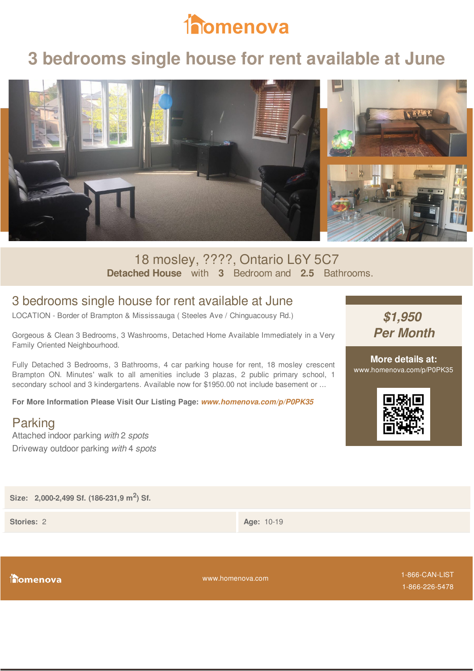

# **3 bedrooms single house for rent available at June**



## 18 mosley, ????, Ontario L6Y 5C7 **Detached House** with **3** Bedroom and **2.5** Bathrooms.

## 3 bedrooms single house for rent available at June

LOCATION - Border of Brampton & Mississauga ( Steeles Ave / Chinguacousy Rd.)

Gorgeous & Clean 3 Bedrooms, 3 Washrooms, Detached Home Available Immediately in a Very Family Oriented Neighbourhood.

Fully Detached 3 Bedrooms, 3 Bathrooms, 4 car parking house for rent, 18 mosley crescent Brampton ON. Minutes' walk to all amenities include 3 plazas, 2 public primary school, 1 secondary school and 3 kindergartens. Available now for \$1950.00 not include basement or ...

**For More Information Please Visit Our Listing Page:** *www.homenova.com/p/P0PK35*

## Parking

Attached indoor parking *with* 2 *spots* Driveway outdoor parking *with* 4 *spots*

*\$1,950 Per Month*

**More details at:** www.homenova.com/p/P0PK35



**Size: 2,000-2,499 Sf. (186-231,9 m<sup>2</sup> ) Sf. Stories:** 2 **Age:** 10-19

**inomenova** 

www.homenova.com

1-866-CAN-LIST 1-866-226-5478